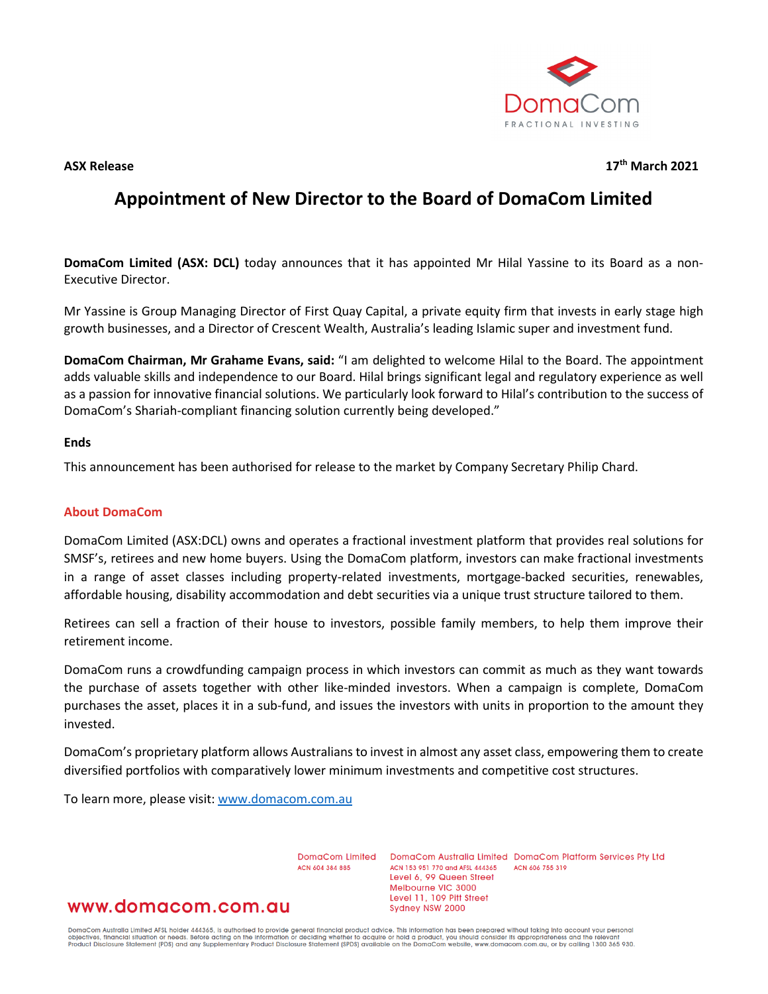

**ASX Release 17th March 2021**

# **Appointment of New Director to the Board of DomaCom Limited**

**DomaCom Limited (ASX: DCL)** today announces that it has appointed Mr Hilal Yassine to its Board as a non-Executive Director.

Mr Yassine is Group Managing Director of First Quay Capital, a private equity firm that invests in early stage high growth businesses, and a Director of Crescent Wealth, Australia's leading Islamic super and investment fund.

**DomaCom Chairman, Mr Grahame Evans, said:** "I am delighted to welcome Hilal to the Board. The appointment adds valuable skills and independence to our Board. Hilal brings significant legal and regulatory experience as well as a passion for innovative financial solutions. We particularly look forward to Hilal's contribution to the success of DomaCom's Shariah-compliant financing solution currently being developed."

# **Ends**

This announcement has been authorised for release to the market by Company Secretary Philip Chard.

## **About DomaCom**

DomaCom Limited (ASX:DCL) owns and operates a fractional investment platform that provides real solutions for SMSF's, retirees and new home buyers. Using the DomaCom platform, investors can make fractional investments in a range of asset classes including property-related investments, mortgage-backed securities, renewables, affordable housing, disability accommodation and debt securities via a unique trust structure tailored to them.

Retirees can sell a fraction of their house to investors, possible family members, to help them improve their retirement income.

DomaCom runs a crowdfunding campaign process in which investors can commit as much as they want towards the purchase of assets together with other like-minded investors. When a campaign is complete, DomaCom purchases the asset, places it in a sub-fund, and issues the investors with units in proportion to the amount they invested.

DomaCom's proprietary platform allows Australians to invest in almost any asset class, empowering them to create diversified portfolios with comparatively lower minimum investments and competitive cost structures.

To learn more, please visit: [www.domacom.com.au](http://www.domacom.com.au/)

DomgCom Limited ACN 604 384 885

DomaCom Australia Limited DomaCom Platform Services Pty Ltd ACN 153 951 770 and AFSL 444365 ACN 606 755 319 Level 6, 99 Queen Street Melbourne VIC 3000 Level 11, 109 Pitt Street Sydney NSW 2000

# www.domacom.com.au

DomaCom Australia Limited AFSL holder 444365, is authorised to provide general financial product advice. This information has been prepared without taking into account your personal<br>objectives, financial situation or needs